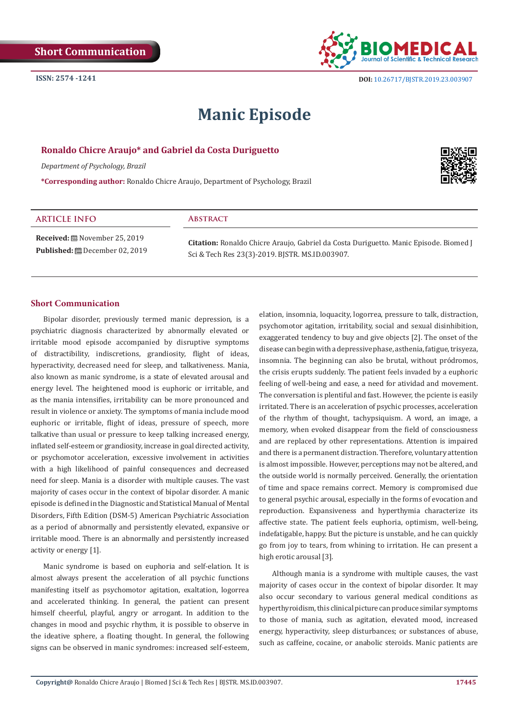

# **Manic Episode**

## **Ronaldo Chicre Araujo\* and Gabriel da Costa Duriguetto**

*Department of Psychology, Brazil* 

**\*Corresponding author:** Ronaldo Chicre Araujo, Department of Psychology, Brazil



#### **ARTICLE INFO Abstract**

**Received:** November 25, 2019 **Published:** December 02, 2019

**Citation:** Ronaldo Chicre Araujo, Gabriel da Costa Duriguetto. Manic Episode. Biomed J Sci & Tech Res 23(3)-2019. BJSTR. MS.ID.003907.

# **Short Communication**

Bipolar disorder, previously termed manic depression, is a psychiatric diagnosis characterized by abnormally elevated or irritable mood episode accompanied by disruptive symptoms of distractibility, indiscretions, grandiosity, flight of ideas, hyperactivity, decreased need for sleep, and talkativeness. Mania, also known as manic syndrome, is a state of elevated arousal and energy level. The heightened mood is euphoric or irritable, and as the mania intensifies, irritability can be more pronounced and result in violence or anxiety. The symptoms of mania include mood euphoric or irritable, flight of ideas, pressure of speech, more talkative than usual or pressure to keep talking increased energy, inflated self-esteem or grandiosity, increase in goal directed activity, or psychomotor acceleration, excessive involvement in activities with a high likelihood of painful consequences and decreased need for sleep. Mania is a disorder with multiple causes. The vast majority of cases occur in the context of bipolar disorder. A manic episode is defined in the Diagnostic and Statistical Manual of Mental Disorders, Fifth Edition (DSM-5) American Psychiatric Association as a period of abnormally and persistently elevated, expansive or irritable mood. There is an abnormally and persistently increased activity or energy [1].

Manic syndrome is based on euphoria and self-elation. It is almost always present the acceleration of all psychic functions manifesting itself as psychomotor agitation, exaltation, logorrea and accelerated thinking. In general, the patient can present himself cheerful, playful, angry or arrogant. In addition to the changes in mood and psychic rhythm, it is possible to observe in the ideative sphere, a floating thought. In general, the following signs can be observed in manic syndromes: increased self-esteem,

elation, insomnia, loquacity, logorrea, pressure to talk, distraction, psychomotor agitation, irritability, social and sexual disinhibition, exaggerated tendency to buy and give objects [2]. The onset of the disease can begin with a depressive phase, asthenia, fatigue, trisyeza, insomnia. The beginning can also be brutal, without pródromos, the crisis erupts suddenly. The patient feels invaded by a euphoric feeling of well-being and ease, a need for atividad and movement. The conversation is plentiful and fast. However, the pciente is easily irritated. There is an acceleration of psychic processes, acceleration of the rhythm of thought, tachypsiquism. A word, an image, a memory, when evoked disappear from the field of consciousness and are replaced by other representations. Attention is impaired and there is a permanent distraction. Therefore, voluntary attention is almost impossible. However, perceptions may not be altered, and the outside world is normally perceived. Generally, the orientation of time and space remains correct. Memory is compromised due to general psychic arousal, especially in the forms of evocation and reproduction. Expansiveness and hyperthymia characterize its affective state. The patient feels euphoria, optimism, well-being, indefatigable, happy. But the picture is unstable, and he can quickly go from joy to tears, from whining to irritation. He can present a high erotic arousal [3].

Although mania is a syndrome with multiple causes, the vast majority of cases occur in the context of bipolar disorder. It may also occur secondary to various general medical conditions as hyperthyroidism, this clinical picture can produce similar symptoms to those of mania, such as agitation, elevated mood, increased energy, hyperactivity, sleep disturbances; or substances of abuse, such as caffeine, cocaine, or anabolic steroids. Manic patients are